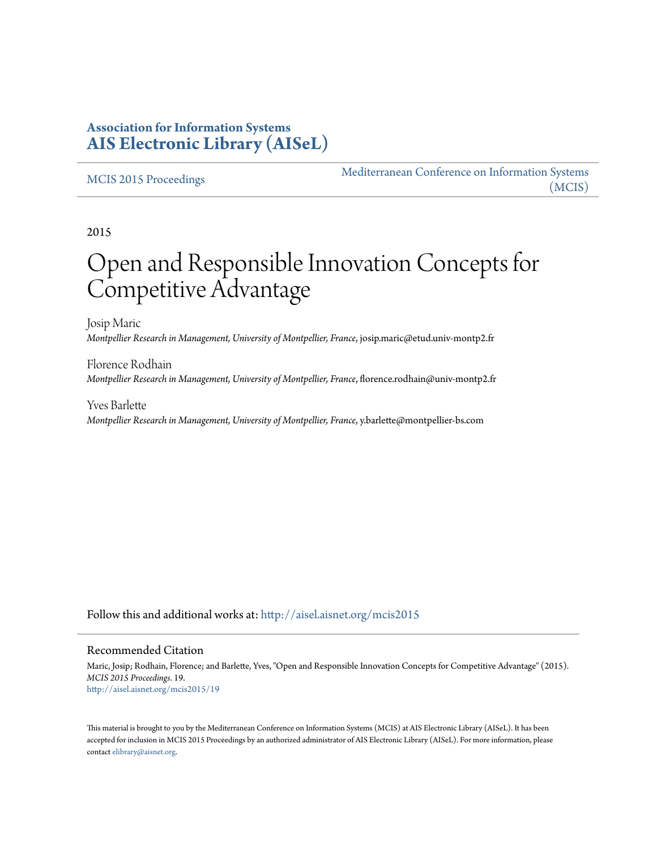### **Association for Information Systems [AIS Electronic Library \(AISeL\)](http://aisel.aisnet.org?utm_source=aisel.aisnet.org%2Fmcis2015%2F19&utm_medium=PDF&utm_campaign=PDFCoverPages)**

#### [MCIS 2015 Proceedings](http://aisel.aisnet.org/mcis2015?utm_source=aisel.aisnet.org%2Fmcis2015%2F19&utm_medium=PDF&utm_campaign=PDFCoverPages)

[Mediterranean Conference on Information Systems](http://aisel.aisnet.org/mcis?utm_source=aisel.aisnet.org%2Fmcis2015%2F19&utm_medium=PDF&utm_campaign=PDFCoverPages) [\(MCIS\)](http://aisel.aisnet.org/mcis?utm_source=aisel.aisnet.org%2Fmcis2015%2F19&utm_medium=PDF&utm_campaign=PDFCoverPages)

2015

# Open and Responsible Innovation Concepts for Competitive Advantage

Josip Maric *Montpellier Research in Management, University of Montpellier, France*, josip.maric@etud.univ-montp2.fr

Florence Rodhain *Montpellier Research in Management, University of Montpellier, France*, florence.rodhain@univ-montp2.fr

Yves Barlette *Montpellier Research in Management, University of Montpellier, France*, y.barlette@montpellier-bs.com

Follow this and additional works at: [http://aisel.aisnet.org/mcis2015](http://aisel.aisnet.org/mcis2015?utm_source=aisel.aisnet.org%2Fmcis2015%2F19&utm_medium=PDF&utm_campaign=PDFCoverPages)

#### Recommended Citation

Maric, Josip; Rodhain, Florence; and Barlette, Yves, "Open and Responsible Innovation Concepts for Competitive Advantage" (2015). *MCIS 2015 Proceedings*. 19. [http://aisel.aisnet.org/mcis2015/19](http://aisel.aisnet.org/mcis2015/19?utm_source=aisel.aisnet.org%2Fmcis2015%2F19&utm_medium=PDF&utm_campaign=PDFCoverPages)

This material is brought to you by the Mediterranean Conference on Information Systems (MCIS) at AIS Electronic Library (AISeL). It has been accepted for inclusion in MCIS 2015 Proceedings by an authorized administrator of AIS Electronic Library (AISeL). For more information, please contact [elibrary@aisnet.org.](mailto:elibrary@aisnet.org%3E)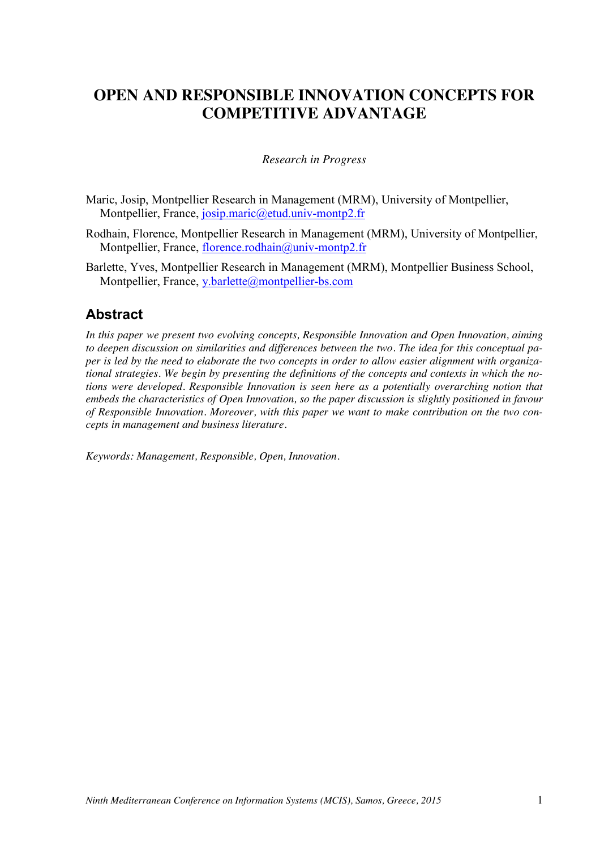# **OPEN AND RESPONSIBLE INNOVATION CONCEPTS FOR COMPETITIVE ADVANTAGE**

#### *Research in Progress*

- Maric, Josip, Montpellier Research in Management (MRM), University of Montpellier, Montpellier, France, josip.maric@etud.univ-montp2.fr
- Rodhain, Florence, Montpellier Research in Management (MRM), University of Montpellier, Montpellier, France, florence.rodhain@univ-montp2.fr
- Barlette, Yves, Montpellier Research in Management (MRM), Montpellier Business School, Montpellier, France, y.barlette@montpellier-bs.com

### **Abstract**

*In this paper we present two evolving concepts, Responsible Innovation and Open Innovation, aiming to deepen discussion on similarities and differences between the two. The idea for this conceptual paper is led by the need to elaborate the two concepts in order to allow easier alignment with organizational strategies. We begin by presenting the definitions of the concepts and contexts in which the notions were developed. Responsible Innovation is seen here as a potentially overarching notion that embeds the characteristics of Open Innovation, so the paper discussion is slightly positioned in favour of Responsible Innovation. Moreover, with this paper we want to make contribution on the two concepts in management and business literature.*

*Keywords: Management, Responsible, Open, Innovation.*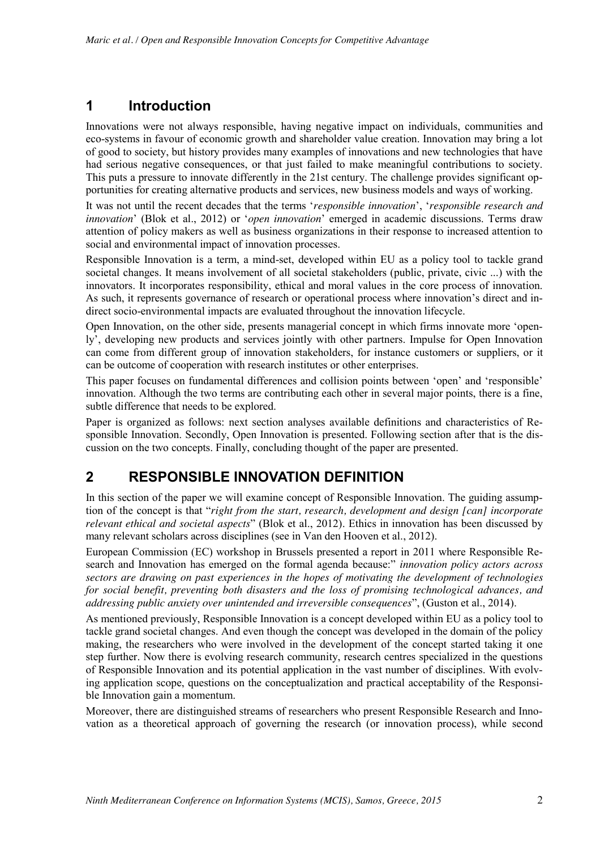# **1 Introduction**

Innovations were not always responsible, having negative impact on individuals, communities and eco-systems in favour of economic growth and shareholder value creation. Innovation may bring a lot of good to society, but history provides many examples of innovations and new technologies that have had serious negative consequences, or that just failed to make meaningful contributions to society. This puts a pressure to innovate differently in the 21st century. The challenge provides significant opportunities for creating alternative products and services, new business models and ways of working.

It was not until the recent decades that the terms '*responsible innovation*', '*responsible research and innovation*' (Blok et al., 2012) or '*open innovation*' emerged in academic discussions. Terms draw attention of policy makers as well as business organizations in their response to increased attention to social and environmental impact of innovation processes.

Responsible Innovation is a term, a mind-set, developed within EU as a policy tool to tackle grand societal changes. It means involvement of all societal stakeholders (public, private, civic ...) with the innovators. It incorporates responsibility, ethical and moral values in the core process of innovation. As such, it represents governance of research or operational process where innovation's direct and indirect socio-environmental impacts are evaluated throughout the innovation lifecycle.

Open Innovation, on the other side, presents managerial concept in which firms innovate more 'openly', developing new products and services jointly with other partners. Impulse for Open Innovation can come from different group of innovation stakeholders, for instance customers or suppliers, or it can be outcome of cooperation with research institutes or other enterprises.

This paper focuses on fundamental differences and collision points between 'open' and 'responsible' innovation. Although the two terms are contributing each other in several major points, there is a fine, subtle difference that needs to be explored.

Paper is organized as follows: next section analyses available definitions and characteristics of Responsible Innovation. Secondly, Open Innovation is presented. Following section after that is the discussion on the two concepts. Finally, concluding thought of the paper are presented.

# **2 RESPONSIBLE INNOVATION DEFINITION**

In this section of the paper we will examine concept of Responsible Innovation. The guiding assumption of the concept is that "*right from the start, research, development and design [can] incorporate relevant ethical and societal aspects*" (Blok et al., 2012). Ethics in innovation has been discussed by many relevant scholars across disciplines (see in Van den Hooven et al., 2012).

European Commission (EC) workshop in Brussels presented a report in 2011 where Responsible Research and Innovation has emerged on the formal agenda because:" *innovation policy actors across sectors are drawing on past experiences in the hopes of motivating the development of technologies for social benefit, preventing both disasters and the loss of promising technological advances, and addressing public anxiety over unintended and irreversible consequences*", (Guston et al., 2014).

As mentioned previously, Responsible Innovation is a concept developed within EU as a policy tool to tackle grand societal changes. And even though the concept was developed in the domain of the policy making, the researchers who were involved in the development of the concept started taking it one step further. Now there is evolving research community, research centres specialized in the questions of Responsible Innovation and its potential application in the vast number of disciplines. With evolving application scope, questions on the conceptualization and practical acceptability of the Responsible Innovation gain a momentum.

Moreover, there are distinguished streams of researchers who present Responsible Research and Innovation as a theoretical approach of governing the research (or innovation process), while second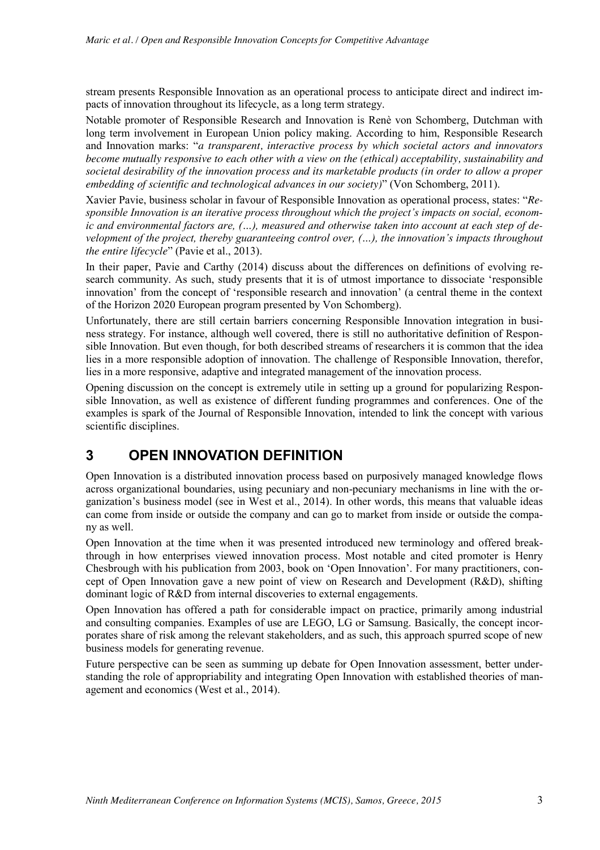stream presents Responsible Innovation as an operational process to anticipate direct and indirect impacts of innovation throughout its lifecycle, as a long term strategy.

Notable promoter of Responsible Research and Innovation is Renè von Schomberg, Dutchman with long term involvement in European Union policy making. According to him, Responsible Research and Innovation marks: "*a transparent, interactive process by which societal actors and innovators become mutually responsive to each other with a view on the (ethical) acceptability, sustainability and societal desirability of the innovation process and its marketable products (in order to allow a proper embedding of scientific and technological advances in our society)*" (Von Schomberg, 2011).

Xavier Pavie, business scholar in favour of Responsible Innovation as operational process, states: "*Responsible Innovation is an iterative process throughout which the project's impacts on social, economic and environmental factors are, (…), measured and otherwise taken into account at each step of development of the project, thereby guaranteeing control over, (…), the innovation's impacts throughout the entire lifecycle*" (Pavie et al., 2013).

In their paper, Pavie and Carthy (2014) discuss about the differences on definitions of evolving research community. As such, study presents that it is of utmost importance to dissociate 'responsible innovation' from the concept of 'responsible research and innovation' (a central theme in the context of the Horizon 2020 European program presented by Von Schomberg).

Unfortunately, there are still certain barriers concerning Responsible Innovation integration in business strategy. For instance, although well covered, there is still no authoritative definition of Responsible Innovation. But even though, for both described streams of researchers it is common that the idea lies in a more responsible adoption of innovation. The challenge of Responsible Innovation, therefor, lies in a more responsive, adaptive and integrated management of the innovation process.

Opening discussion on the concept is extremely utile in setting up a ground for popularizing Responsible Innovation, as well as existence of different funding programmes and conferences. One of the examples is spark of the Journal of Responsible Innovation, intended to link the concept with various scientific disciplines.

# **3 OPEN INNOVATION DEFINITION**

Open Innovation is a distributed innovation process based on purposively managed knowledge flows across organizational boundaries, using pecuniary and non-pecuniary mechanisms in line with the organization's business model (see in West et al., 2014). In other words, this means that valuable ideas can come from inside or outside the company and can go to market from inside or outside the company as well.

Open Innovation at the time when it was presented introduced new terminology and offered breakthrough in how enterprises viewed innovation process. Most notable and cited promoter is Henry Chesbrough with his publication from 2003, book on 'Open Innovation'. For many practitioners, concept of Open Innovation gave a new point of view on Research and Development (R&D), shifting dominant logic of R&D from internal discoveries to external engagements.

Open Innovation has offered a path for considerable impact on practice, primarily among industrial and consulting companies. Examples of use are LEGO, LG or Samsung. Basically, the concept incorporates share of risk among the relevant stakeholders, and as such, this approach spurred scope of new business models for generating revenue.

Future perspective can be seen as summing up debate for Open Innovation assessment, better understanding the role of appropriability and integrating Open Innovation with established theories of management and economics (West et al., 2014).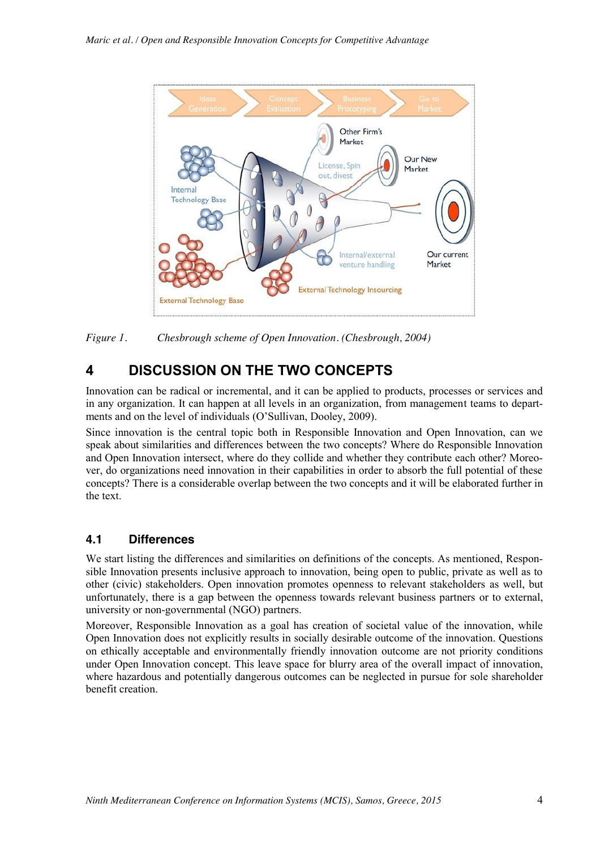

*Figure 1. Chesbrough scheme of Open Innovation. (Chesbrough, 2004)*

# **4 DISCUSSION ON THE TWO CONCEPTS**

Innovation can be radical or incremental, and it can be applied to products, processes or services and in any organization. It can happen at all levels in an organization, from management teams to departments and on the level of individuals (O'Sullivan, Dooley, 2009).

Since innovation is the central topic both in Responsible Innovation and Open Innovation, can we speak about similarities and differences between the two concepts? Where do Responsible Innovation and Open Innovation intersect, where do they collide and whether they contribute each other? Moreover, do organizations need innovation in their capabilities in order to absorb the full potential of these concepts? There is a considerable overlap between the two concepts and it will be elaborated further in the text.

#### **4.1 Differences**

We start listing the differences and similarities on definitions of the concepts. As mentioned, Responsible Innovation presents inclusive approach to innovation, being open to public, private as well as to other (civic) stakeholders. Open innovation promotes openness to relevant stakeholders as well, but unfortunately, there is a gap between the openness towards relevant business partners or to external, university or non-governmental (NGO) partners.

Moreover, Responsible Innovation as a goal has creation of societal value of the innovation, while Open Innovation does not explicitly results in socially desirable outcome of the innovation. Questions on ethically acceptable and environmentally friendly innovation outcome are not priority conditions under Open Innovation concept. This leave space for blurry area of the overall impact of innovation, where hazardous and potentially dangerous outcomes can be neglected in pursue for sole shareholder benefit creation.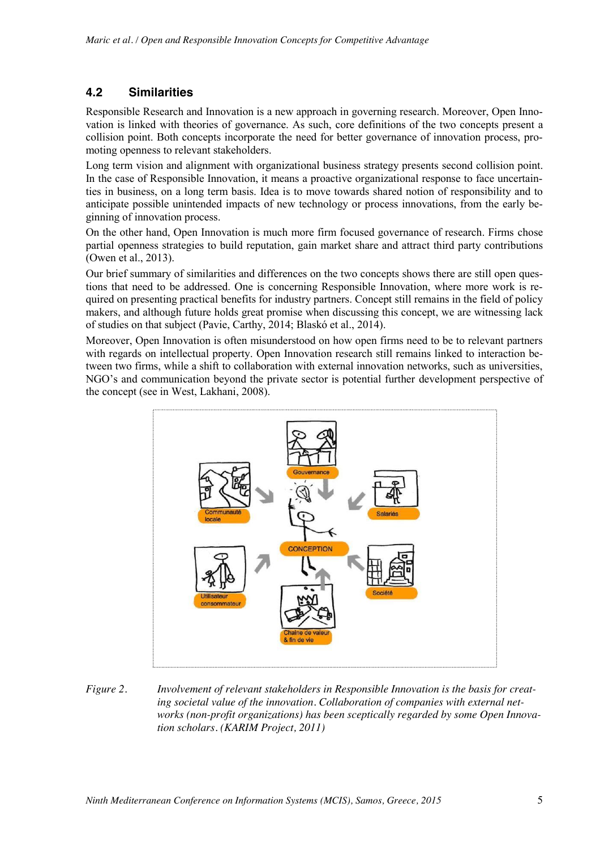#### **4.2 Similarities**

Responsible Research and Innovation is a new approach in governing research. Moreover, Open Innovation is linked with theories of governance. As such, core definitions of the two concepts present a collision point. Both concepts incorporate the need for better governance of innovation process, promoting openness to relevant stakeholders.

Long term vision and alignment with organizational business strategy presents second collision point. In the case of Responsible Innovation, it means a proactive organizational response to face uncertainties in business, on a long term basis. Idea is to move towards shared notion of responsibility and to anticipate possible unintended impacts of new technology or process innovations, from the early beginning of innovation process.

On the other hand, Open Innovation is much more firm focused governance of research. Firms chose partial openness strategies to build reputation, gain market share and attract third party contributions (Owen et al., 2013).

Our brief summary of similarities and differences on the two concepts shows there are still open questions that need to be addressed. One is concerning Responsible Innovation, where more work is required on presenting practical benefits for industry partners. Concept still remains in the field of policy makers, and although future holds great promise when discussing this concept, we are witnessing lack of studies on that subject (Pavie, Carthy, 2014; Blaskó et al., 2014).

Moreover, Open Innovation is often misunderstood on how open firms need to be to relevant partners with regards on intellectual property. Open Innovation research still remains linked to interaction between two firms, while a shift to collaboration with external innovation networks, such as universities, NGO's and communication beyond the private sector is potential further development perspective of the concept (see in West, Lakhani, 2008).



*Figure 2. Involvement of relevant stakeholders in Responsible Innovation is the basis for creating societal value of the innovation. Collaboration of companies with external networks (non-profit organizations) has been sceptically regarded by some Open Innovation scholars. (KARIM Project, 2011)*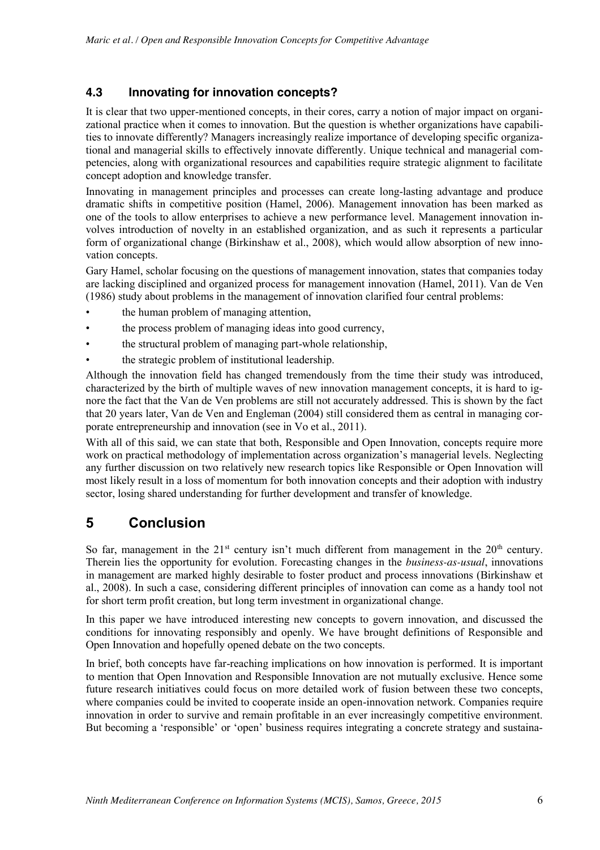#### **4.3 Innovating for innovation concepts?**

It is clear that two upper-mentioned concepts, in their cores, carry a notion of major impact on organizational practice when it comes to innovation. But the question is whether organizations have capabilities to innovate differently? Managers increasingly realize importance of developing specific organizational and managerial skills to effectively innovate differently. Unique technical and managerial competencies, along with organizational resources and capabilities require strategic alignment to facilitate concept adoption and knowledge transfer.

Innovating in management principles and processes can create long-lasting advantage and produce dramatic shifts in competitive position (Hamel, 2006). Management innovation has been marked as one of the tools to allow enterprises to achieve a new performance level. Management innovation involves introduction of novelty in an established organization, and as such it represents a particular form of organizational change (Birkinshaw et al., 2008), which would allow absorption of new innovation concepts.

Gary Hamel, scholar focusing on the questions of management innovation, states that companies today are lacking disciplined and organized process for management innovation (Hamel, 2011). Van de Ven (1986) study about problems in the management of innovation clarified four central problems:

- the human problem of managing attention,
- the process problem of managing ideas into good currency,
- the structural problem of managing part-whole relationship,
- the strategic problem of institutional leadership.

Although the innovation field has changed tremendously from the time their study was introduced, characterized by the birth of multiple waves of new innovation management concepts, it is hard to ignore the fact that the Van de Ven problems are still not accurately addressed. This is shown by the fact that 20 years later, Van de Ven and Engleman (2004) still considered them as central in managing corporate entrepreneurship and innovation (see in Vo et al., 2011).

With all of this said, we can state that both, Responsible and Open Innovation, concepts require more work on practical methodology of implementation across organization's managerial levels. Neglecting any further discussion on two relatively new research topics like Responsible or Open Innovation will most likely result in a loss of momentum for both innovation concepts and their adoption with industry sector, losing shared understanding for further development and transfer of knowledge.

## **5 Conclusion**

So far, management in the 21<sup>st</sup> century isn't much different from management in the  $20<sup>th</sup>$  century. Therein lies the opportunity for evolution. Forecasting changes in the *business-as-usual*, innovations in management are marked highly desirable to foster product and process innovations (Birkinshaw et al., 2008). In such a case, considering different principles of innovation can come as a handy tool not for short term profit creation, but long term investment in organizational change.

In this paper we have introduced interesting new concepts to govern innovation, and discussed the conditions for innovating responsibly and openly. We have brought definitions of Responsible and Open Innovation and hopefully opened debate on the two concepts.

In brief, both concepts have far-reaching implications on how innovation is performed. It is important to mention that Open Innovation and Responsible Innovation are not mutually exclusive. Hence some future research initiatives could focus on more detailed work of fusion between these two concepts, where companies could be invited to cooperate inside an open-innovation network. Companies require innovation in order to survive and remain profitable in an ever increasingly competitive environment. But becoming a 'responsible' or 'open' business requires integrating a concrete strategy and sustaina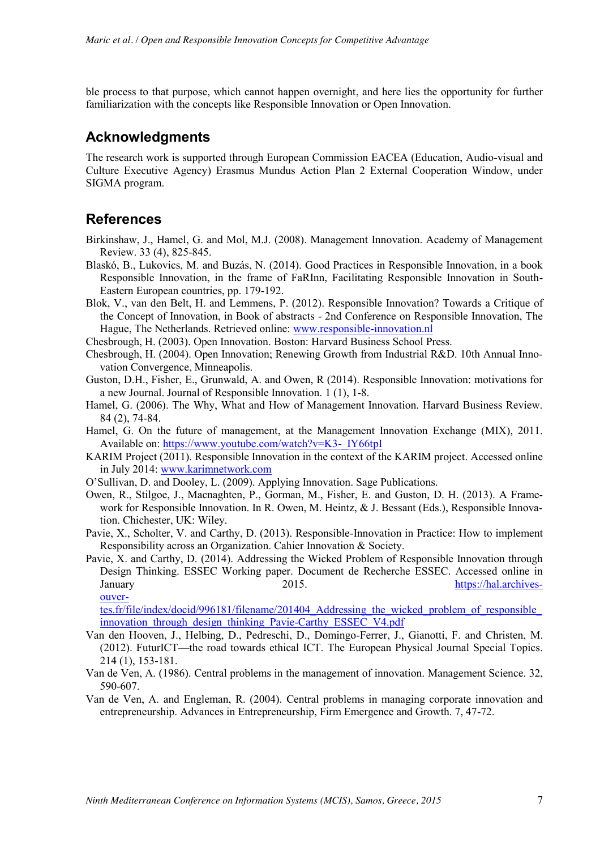ble process to that purpose, which cannot happen overnight, and here lies the opportunity for further familiarization with the concepts like Responsible Innovation or Open Innovation.

## **Acknowledgments**

The research work is supported through European Commission EACEA (Education, Audio-visual and Culture Executive Agency) Erasmus Mundus Action Plan 2 External Cooperation Window, under SIGMA program.

### **References**

- Birkinshaw, J., Hamel, G. and Mol, M.J. (2008). Management Innovation. Academy of Management Review. 33 (4), 825-845.
- Blaskó, B., Lukovics, M. and Buzás, N. (2014). Good Practices in Responsible Innovation, in a book Responsible Innovation, in the frame of FaRInn, Facilitating Responsible Innovation in South-Eastern European countries, pp. 179-192.
- Blok, V., van den Belt, H. and Lemmens, P. (2012). Responsible Innovation? Towards a Critique of the Concept of Innovation, in Book of abstracts - 2nd Conference on Responsible Innovation, The Hague, The Netherlands. Retrieved online: www.responsible-innovation.nl
- Chesbrough, H. (2003). Open Innovation. Boston: Harvard Business School Press.
- Chesbrough, H. (2004). Open Innovation; Renewing Growth from Industrial R&D. 10th Annual Innovation Convergence, Minneapolis.
- Guston, D.H., Fisher, E., Grunwald, A. and Owen, R (2014). Responsible Innovation: motivations for a new Journal. Journal of Responsible Innovation. 1 (1), 1-8.
- Hamel, G. (2006). The Why, What and How of Management Innovation. Harvard Business Review. 84 (2), 74-84.
- Hamel, G. On the future of management, at the Management Innovation Exchange (MIX), 2011. Available on: https://www.youtube.com/watch?v=K3-\_IY66tpI
- KARIM Project (2011). Responsible Innovation in the context of the KARIM project. Accessed online in July 2014: www.karimnetwork.com
- O'Sullivan, D. and Dooley, L. (2009). Applying Innovation. Sage Publications.
- Owen, R., Stilgoe, J., Macnaghten, P., Gorman, M., Fisher, E. and Guston, D. H. (2013). A Framework for Responsible Innovation. In R. Owen, M. Heintz, & J. Bessant (Eds.), Responsible Innovation. Chichester, UK: Wiley.
- Pavie, X., Scholter, V. and Carthy, D. (2013). Responsible-Innovation in Practice: How to implement Responsibility across an Organization. Cahier Innovation & Society.
- Pavie, X. and Carthy, D. (2014). Addressing the Wicked Problem of Responsible Innovation through Design Thinking. ESSEC Working paper. Document de Recherche ESSEC. Accessed online in January 2015. https://hal.archivesouver-

tes.fr/file/index/docid/996181/filename/201404\_Addressing\_the\_wicked\_problem\_of\_responsible\_ innovation through design thinking Pavie-Carthy ESSEC\_V4.pdf

- Van den Hooven, J., Helbing, D., Pedreschi, D., Domingo-Ferrer, J., Gianotti, F. and Christen, M. (2012). FuturICT—the road towards ethical ICT. The European Physical Journal Special Topics. 214 (1), 153-181.
- Van de Ven, A. (1986). Central problems in the management of innovation. Management Science. 32, 590-607.
- Van de Ven, A. and Engleman, R. (2004). Central problems in managing corporate innovation and entrepreneurship. Advances in Entrepreneurship, Firm Emergence and Growth. 7, 47-72.